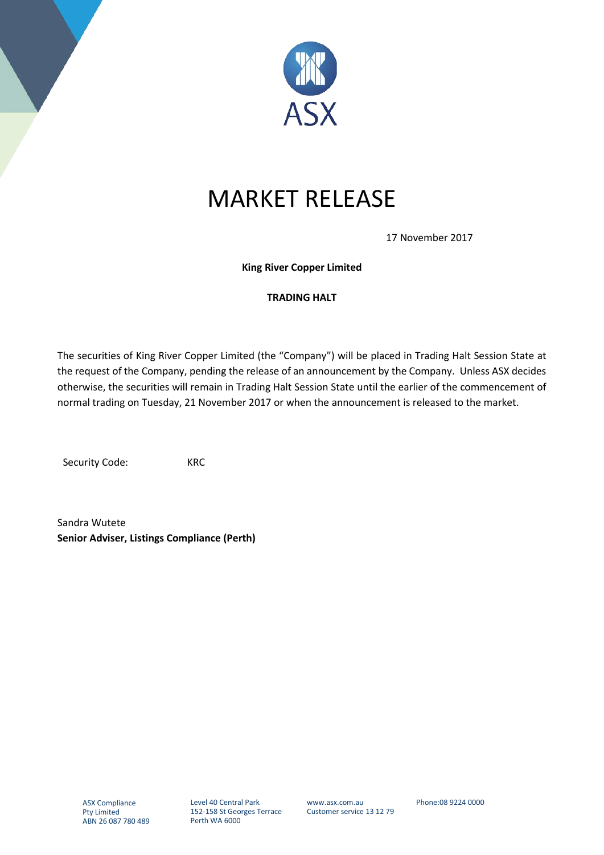

## MARKET RELEASE

17 November 2017

**King River Copper Limited**

## **TRADING HALT**

The securities of King River Copper Limited (the "Company") will be placed in Trading Halt Session State at the request of the Company, pending the release of an announcement by the Company. Unless ASX decides otherwise, the securities will remain in Trading Halt Session State until the earlier of the commencement of normal trading on Tuesday, 21 November 2017 or when the announcement is released to the market.

Security Code: KRC

Sandra Wutete **Senior Adviser, Listings Compliance (Perth)**

www.asx.com.au Customer service 13 12 79 Phone:08 9224 0000